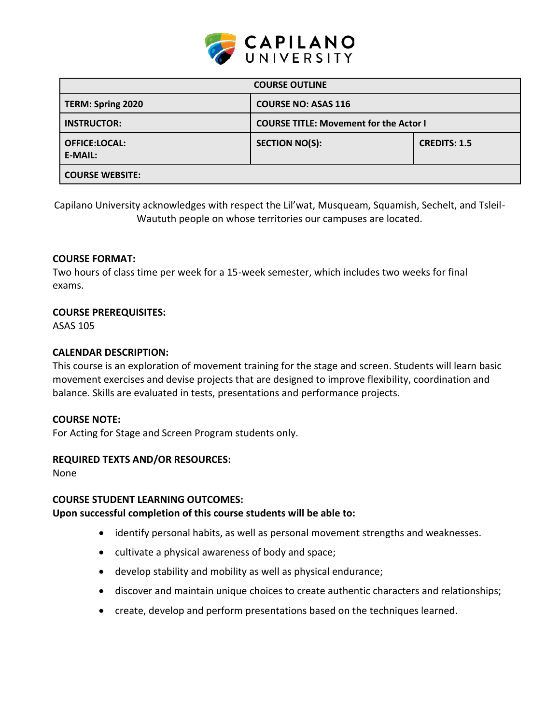

| <b>COURSE OUTLINE</b>                  |                                               |                     |  |  |
|----------------------------------------|-----------------------------------------------|---------------------|--|--|
| TERM: Spring 2020                      | <b>COURSE NO: ASAS 116</b>                    |                     |  |  |
| <b>INSTRUCTOR:</b>                     | <b>COURSE TITLE: Movement for the Actor I</b> |                     |  |  |
| <b>OFFICE:LOCAL:</b><br><b>E-MAIL:</b> | <b>SECTION NO(S):</b>                         | <b>CREDITS: 1.5</b> |  |  |
| <b>COURSE WEBSITE:</b>                 |                                               |                     |  |  |

Capilano University acknowledges with respect the Lil'wat, Musqueam, Squamish, Sechelt, and Tsleil-Waututh people on whose territories our campuses are located.

### **COURSE FORMAT:**

Two hours of class time per week for a 15-week semester, which includes two weeks for final exams.

### **COURSE PREREQUISITES:**

ASAS 105

## **CALENDAR DESCRIPTION:**

This course is an exploration of movement training for the stage and screen. Students will learn basic movement exercises and devise projects that are designed to improve flexibility, coordination and balance. Skills are evaluated in tests, presentations and performance projects.

### **COURSE NOTE:**

For Acting for Stage and Screen Program students only.

### **REQUIRED TEXTS AND/OR RESOURCES:**

None

### **COURSE STUDENT LEARNING OUTCOMES:**

### **Upon successful completion of this course students will be able to:**

- identify personal habits, as well as personal movement strengths and weaknesses.
- cultivate a physical awareness of body and space;
- develop stability and mobility as well as physical endurance;
- discover and maintain unique choices to create authentic characters and relationships;
- create, develop and perform presentations based on the techniques learned.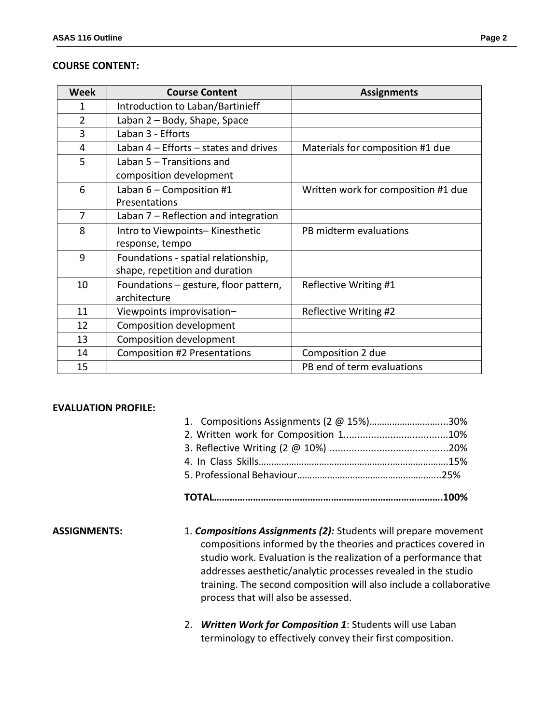#### **COURSE CONTENT:**

| <b>Week</b>    | <b>Course Content</b>                 | <b>Assignments</b>                  |  |
|----------------|---------------------------------------|-------------------------------------|--|
| 1              | Introduction to Laban/Bartinieff      |                                     |  |
| $\overline{2}$ | Laban 2 - Body, Shape, Space          |                                     |  |
| 3              | Laban 3 - Efforts                     |                                     |  |
| 4              | Laban 4 - Efforts - states and drives | Materials for composition #1 due    |  |
| 5              | Laban 5 – Transitions and             |                                     |  |
|                | composition development               |                                     |  |
| 6              | Laban $6$ – Composition #1            | Written work for composition #1 due |  |
|                | Presentations                         |                                     |  |
| 7              | Laban 7 - Reflection and integration  |                                     |  |
| 8              | Intro to Viewpoints-Kinesthetic       | PB midterm evaluations              |  |
|                | response, tempo                       |                                     |  |
| 9              | Foundations - spatial relationship,   |                                     |  |
|                | shape, repetition and duration        |                                     |  |
| 10             | Foundations – gesture, floor pattern, | Reflective Writing #1               |  |
|                | architecture                          |                                     |  |
| 11             | Viewpoints improvisation-             | Reflective Writing #2               |  |
| 12             | Composition development               |                                     |  |
| 13             | Composition development               |                                     |  |
| 14             | <b>Composition #2 Presentations</b>   | Composition 2 due                   |  |
| 15             |                                       | PB end of term evaluations          |  |

### **EVALUATION PROFILE:**

| 1. Compositions Assignments (2 @ 15%)30% |  |
|------------------------------------------|--|
|                                          |  |
|                                          |  |
|                                          |  |
|                                          |  |
|                                          |  |

- **ASSIGNMENTS:** 1. *Compositions Assignments (2):* Students will prepare movement compositions informed by the theories and practices covered in studio work. Evaluation is the realization of a performance that addresses aesthetic/analytic processes revealed in the studio training. The second composition will also include a collaborative process that will also be assessed.
	- 2. *Written Work for Composition 1*: Students will use Laban terminology to effectively convey their first composition.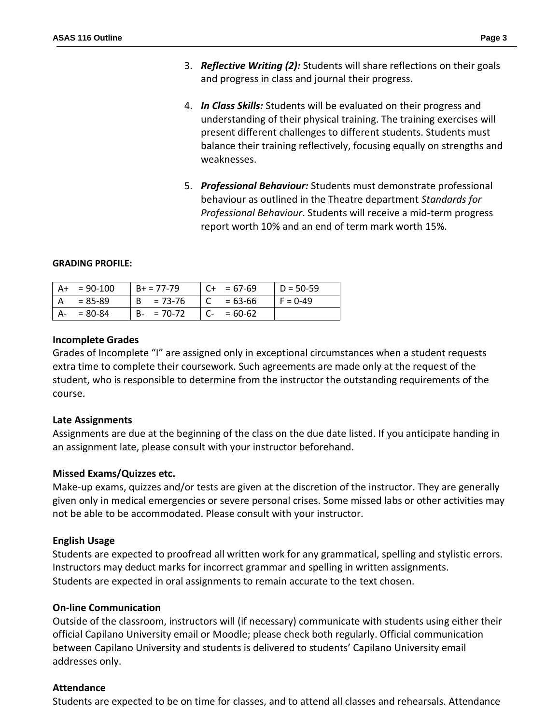- 3. *Reflective Writing (2):* Students will share reflections on their goals and progress in class and journal their progress.
- 4. *In Class Skills:* Students will be evaluated on their progress and understanding of their physical training. The training exercises will present different challenges to different students. Students must balance their training reflectively, focusing equally on strengths and weaknesses.
- 5. *Professional Behaviour:* Students must demonstrate professional behaviour as outlined in the Theatre department *Standards for Professional Behaviour*. Students will receive a mid-term progress report worth 10% and an end of term mark worth 15%.

#### **GRADING PROFILE:**

| A+ | $= 90 - 100$ | $B+ = 77-79$ | $= 67-69$   | $D = 50-59$ |
|----|--------------|--------------|-------------|-------------|
|    | = 85-89      | $B = 73-76$  | $= 63 - 66$ | $F = 0-49$  |
| A- | $= 80 - 84$  | $B - 70-72$  | $= 60 - 62$ |             |

### **Incomplete Grades**

Grades of Incomplete "I" are assigned only in exceptional circumstances when a student requests extra time to complete their coursework. Such agreements are made only at the request of the student, who is responsible to determine from the instructor the outstanding requirements of the course.

## **Late Assignments**

Assignments are due at the beginning of the class on the due date listed. If you anticipate handing in an assignment late, please consult with your instructor beforehand.

### **Missed Exams/Quizzes etc.**

Make-up exams, quizzes and/or tests are given at the discretion of the instructor. They are generally given only in medical emergencies or severe personal crises. Some missed labs or other activities may not be able to be accommodated. Please consult with your instructor.

## **English Usage**

Students are expected to proofread all written work for any grammatical, spelling and stylistic errors. Instructors may deduct marks for incorrect grammar and spelling in written assignments. Students are expected in oral assignments to remain accurate to the text chosen.

### **On-line Communication**

Outside of the classroom, instructors will (if necessary) communicate with students using either their official Capilano University email or Moodle; please check both regularly. Official communication between Capilano University and students is delivered to students' Capilano University email addresses only.

### **Attendance**

Students are expected to be on time for classes, and to attend all classes and rehearsals. Attendance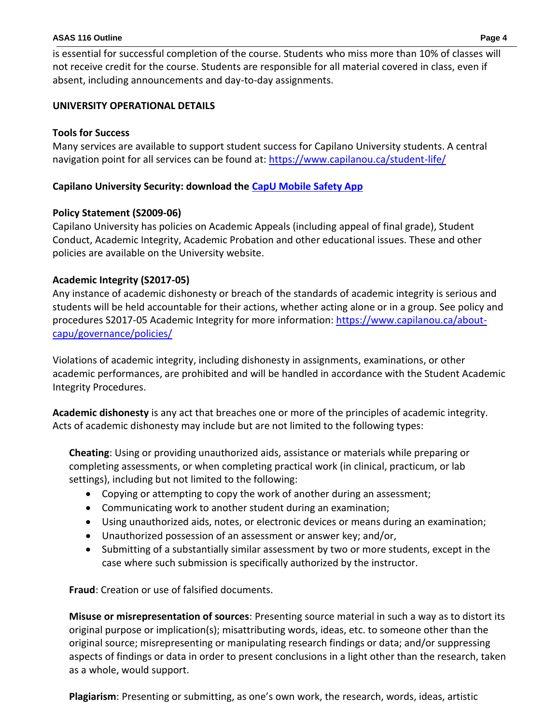#### **ASAS 116 Outline Page 4**

is essential for successful completion of the course. Students who miss more than 10% of classes will not receive credit for the course. Students are responsible for all material covered in class, even if absent, including announcements and day-to-day assignments.

## **UNIVERSITY OPERATIONAL DETAILS**

## **Tools for Success**

Many services are available to support student success for Capilano University students. A central navigation point for all services can be found at:<https://www.capilanou.ca/student-life/>

## **Capilano University Security: download the [CapU Mobile Safety App](https://www.capilanou.ca/student-life/support--wellness/safety--security/capu-safe-app/)**

## **Policy Statement (S2009-06)**

Capilano University has policies on Academic Appeals (including appeal of final grade), Student Conduct, Academic Integrity, Academic Probation and other educational issues. These and other policies are available on the University website.

## **Academic Integrity (S2017-05)**

Any instance of academic dishonesty or breach of the standards of academic integrity is serious and students will be held accountable for their actions, whether acting alone or in a group. See policy and procedures S2017-05 Academic Integrity for more information: [https://www.capilanou.ca/about](https://www.capilanou.ca/about-capu/governance/policies/)[capu/governance/policies/](https://www.capilanou.ca/about-capu/governance/policies/)

Violations of academic integrity, including dishonesty in assignments, examinations, or other academic performances, are prohibited and will be handled in accordance with the Student Academic Integrity Procedures.

**Academic dishonesty** is any act that breaches one or more of the principles of academic integrity. Acts of academic dishonesty may include but are not limited to the following types:

**Cheating**: Using or providing unauthorized aids, assistance or materials while preparing or completing assessments, or when completing practical work (in clinical, practicum, or lab settings), including but not limited to the following:

- Copying or attempting to copy the work of another during an assessment;
- Communicating work to another student during an examination;
- Using unauthorized aids, notes, or electronic devices or means during an examination;
- Unauthorized possession of an assessment or answer key; and/or,
- Submitting of a substantially similar assessment by two or more students, except in the case where such submission is specifically authorized by the instructor.

**Fraud**: Creation or use of falsified documents.

**Misuse or misrepresentation of sources**: Presenting source material in such a way as to distort its original purpose or implication(s); misattributing words, ideas, etc. to someone other than the original source; misrepresenting or manipulating research findings or data; and/or suppressing aspects of findings or data in order to present conclusions in a light other than the research, taken as a whole, would support.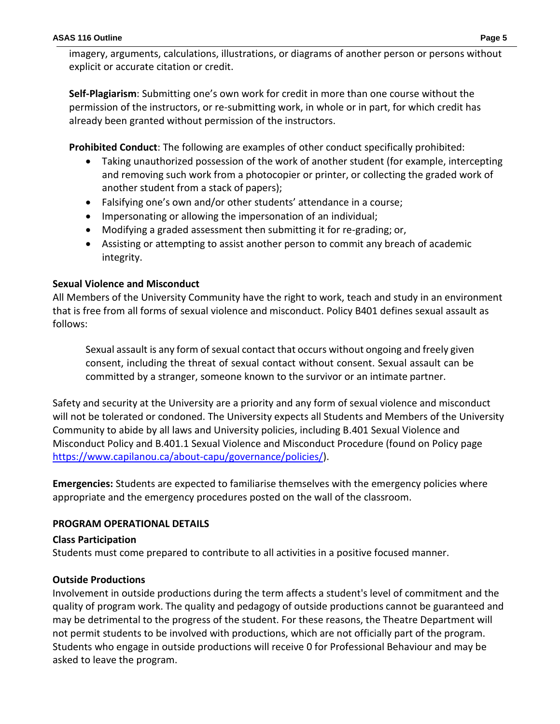imagery, arguments, calculations, illustrations, or diagrams of another person or persons without explicit or accurate citation or credit.

**Self-Plagiarism**: Submitting one's own work for credit in more than one course without the permission of the instructors, or re-submitting work, in whole or in part, for which credit has already been granted without permission of the instructors.

**Prohibited Conduct**: The following are examples of other conduct specifically prohibited:

- Taking unauthorized possession of the work of another student (for example, intercepting and removing such work from a photocopier or printer, or collecting the graded work of another student from a stack of papers);
- Falsifying one's own and/or other students' attendance in a course;
- Impersonating or allowing the impersonation of an individual;
- Modifying a graded assessment then submitting it for re-grading; or,
- Assisting or attempting to assist another person to commit any breach of academic integrity.

# **Sexual Violence and Misconduct**

All Members of the University Community have the right to work, teach and study in an environment that is free from all forms of sexual violence and misconduct. Policy B401 defines sexual assault as follows:

Sexual assault is any form of sexual contact that occurs without ongoing and freely given consent, including the threat of sexual contact without consent. Sexual assault can be committed by a stranger, someone known to the survivor or an intimate partner.

Safety and security at the University are a priority and any form of sexual violence and misconduct will not be tolerated or condoned. The University expects all Students and Members of the University Community to abide by all laws and University policies, including B.401 Sexual Violence and Misconduct Policy and B.401.1 Sexual Violence and Misconduct Procedure (found on Policy page [https://www.capilanou.ca/about-capu/governance/policies/\)](https://www.capilanou.ca/about-capu/governance/policies/).

**Emergencies:** Students are expected to familiarise themselves with the emergency policies where appropriate and the emergency procedures posted on the wall of the classroom.

# **PROGRAM OPERATIONAL DETAILS**

## **Class Participation**

Students must come prepared to contribute to all activities in a positive focused manner.

## **Outside Productions**

Involvement in outside productions during the term affects a student's level of commitment and the quality of program work. The quality and pedagogy of outside productions cannot be guaranteed and may be detrimental to the progress of the student. For these reasons, the Theatre Department will not permit students to be involved with productions, which are not officially part of the program. Students who engage in outside productions will receive 0 for Professional Behaviour and may be asked to leave the program.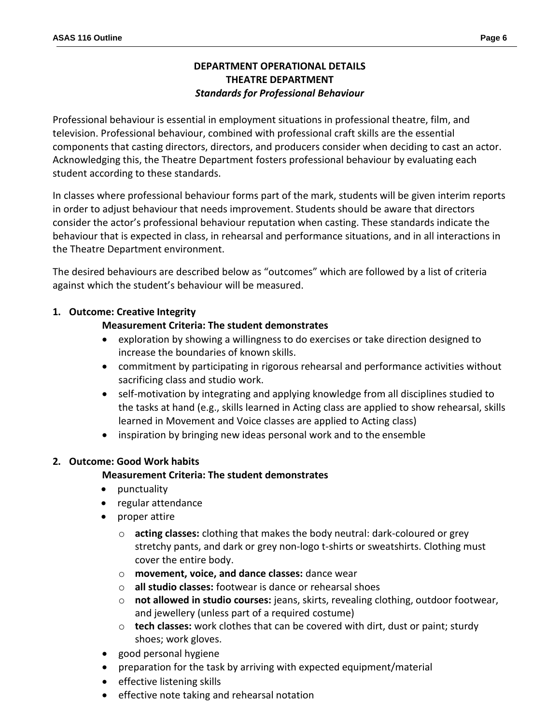# **DEPARTMENT OPERATIONAL DETAILS THEATRE DEPARTMENT** *Standards for Professional Behaviour*

Professional behaviour is essential in employment situations in professional theatre, film, and television. Professional behaviour, combined with professional craft skills are the essential components that casting directors, directors, and producers consider when deciding to cast an actor. Acknowledging this, the Theatre Department fosters professional behaviour by evaluating each student according to these standards.

In classes where professional behaviour forms part of the mark, students will be given interim reports in order to adjust behaviour that needs improvement. Students should be aware that directors consider the actor's professional behaviour reputation when casting. These standards indicate the behaviour that is expected in class, in rehearsal and performance situations, and in all interactions in the Theatre Department environment.

The desired behaviours are described below as "outcomes" which are followed by a list of criteria against which the student's behaviour will be measured.

## **1. Outcome: Creative Integrity**

### **Measurement Criteria: The student demonstrates**

- exploration by showing a willingness to do exercises or take direction designed to increase the boundaries of known skills.
- commitment by participating in rigorous rehearsal and performance activities without sacrificing class and studio work.
- self-motivation by integrating and applying knowledge from all disciplines studied to the tasks at hand (e.g., skills learned in Acting class are applied to show rehearsal, skills learned in Movement and Voice classes are applied to Acting class)
- inspiration by bringing new ideas personal work and to the ensemble

### **2. Outcome: Good Work habits**

### **Measurement Criteria: The student demonstrates**

- punctuality
- regular attendance
- proper attire
	- o **acting classes:** clothing that makes the body neutral: dark-coloured or grey stretchy pants, and dark or grey non-logo t-shirts or sweatshirts. Clothing must cover the entire body.
	- o **movement, voice, and dance classes:** dance wear
	- o **all studio classes:** footwear is dance or rehearsal shoes
	- o **not allowed in studio courses:** jeans, skirts, revealing clothing, outdoor footwear, and jewellery (unless part of a required costume)
	- o **tech classes:** work clothes that can be covered with dirt, dust or paint; sturdy shoes; work gloves.
- good personal hygiene
- preparation for the task by arriving with expected equipment/material
- effective listening skills
- effective note taking and rehearsal notation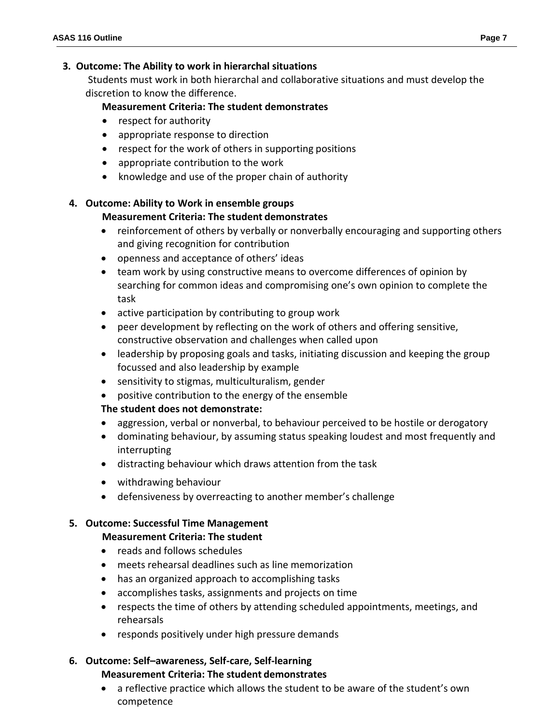### **3. Outcome: The Ability to work in hierarchal situations**

Students must work in both hierarchal and collaborative situations and must develop the discretion to know the difference.

## **Measurement Criteria: The student demonstrates**

- respect for authority
- appropriate response to direction
- $\bullet$  respect for the work of others in supporting positions
- appropriate contribution to the work
- knowledge and use of the proper chain of authority

### **4. Outcome: Ability to Work in ensemble groups**

## **Measurement Criteria: The student demonstrates**

- reinforcement of others by verbally or nonverbally encouraging and supporting others and giving recognition for contribution
- openness and acceptance of others' ideas
- team work by using constructive means to overcome differences of opinion by searching for common ideas and compromising one's own opinion to complete the task
- active participation by contributing to group work
- peer development by reflecting on the work of others and offering sensitive, constructive observation and challenges when called upon
- leadership by proposing goals and tasks, initiating discussion and keeping the group focussed and also leadership by example
- sensitivity to stigmas, multiculturalism, gender
- positive contribution to the energy of the ensemble

## **The student does not demonstrate:**

- aggression, verbal or nonverbal, to behaviour perceived to be hostile or derogatory
- dominating behaviour, by assuming status speaking loudest and most frequently and interrupting
- distracting behaviour which draws attention from the task
- withdrawing behaviour
- defensiveness by overreacting to another member's challenge

### **5. Outcome: Successful Time Management**

### **Measurement Criteria: The student**

- reads and follows schedules
- meets rehearsal deadlines such as line memorization
- has an organized approach to accomplishing tasks
- accomplishes tasks, assignments and projects on time
- respects the time of others by attending scheduled appointments, meetings, and rehearsals
- responds positively under high pressure demands

### **6. Outcome: Self–awareness, Self-care, Self-learning Measurement Criteria: The student demonstrates**

 a reflective practice which allows the student to be aware of the student's own competence